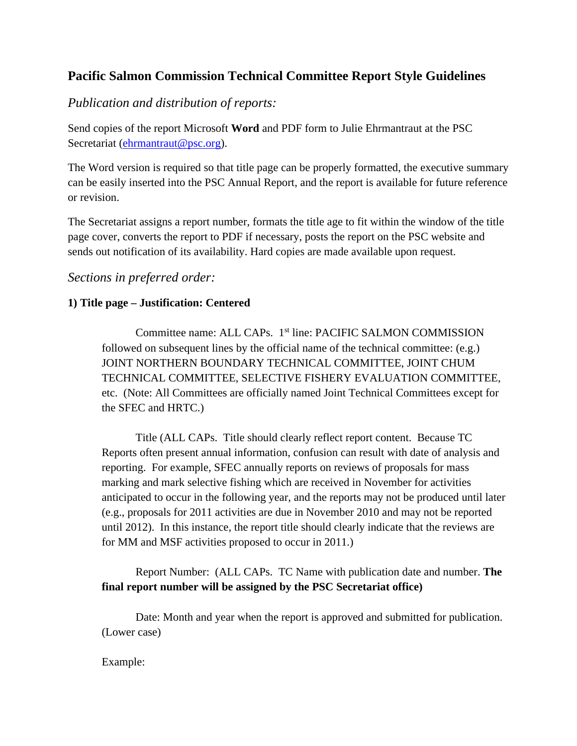### **Pacific Salmon Commission Technical Committee Report Style Guidelines**

*Publication and distribution of reports:*

Send copies of the report Microsoft **Word** and PDF form to Julie Ehrmantraut at the PSC Secretariat [\(ehrmantraut@psc.org\)](mailto:ehrmantraut@psc.org).

The Word version is required so that title page can be properly formatted, the executive summary can be easily inserted into the PSC Annual Report, and the report is available for future reference or revision.

The Secretariat assigns a report number, formats the title age to fit within the window of the title page cover, converts the report to PDF if necessary, posts the report on the PSC website and sends out notification of its availability. Hard copies are made available upon request.

#### *Sections in preferred order:*

#### **1) Title page – Justification: Centered**

Committee name: ALL CAPs. 1<sup>st</sup> line: PACIFIC SALMON COMMISSION followed on subsequent lines by the official name of the technical committee: (e.g.) JOINT NORTHERN BOUNDARY TECHNICAL COMMITTEE, JOINT CHUM TECHNICAL COMMITTEE, SELECTIVE FISHERY EVALUATION COMMITTEE, etc. (Note: All Committees are officially named Joint Technical Committees except for the SFEC and HRTC.)

Title (ALL CAPs. Title should clearly reflect report content. Because TC Reports often present annual information, confusion can result with date of analysis and reporting. For example, SFEC annually reports on reviews of proposals for mass marking and mark selective fishing which are received in November for activities anticipated to occur in the following year, and the reports may not be produced until later (e.g., proposals for 2011 activities are due in November 2010 and may not be reported until 2012). In this instance, the report title should clearly indicate that the reviews are for MM and MSF activities proposed to occur in 2011.)

Report Number: (ALL CAPs. TC Name with publication date and number. **The final report number will be assigned by the PSC Secretariat office)**

Date: Month and year when the report is approved and submitted for publication. (Lower case)

#### Example: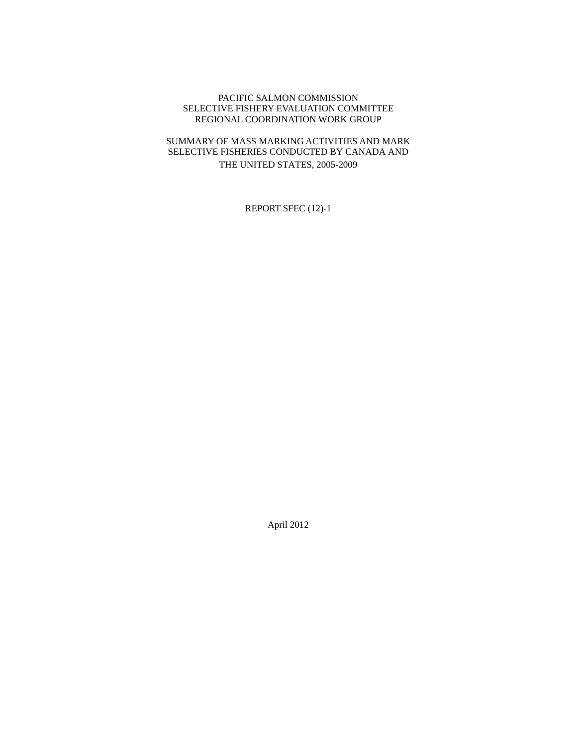#### PACIFIC SALMON COMMISSION SELECTIVE FISHERY EVALUATION COMMITTEE REGIONAL COORDINATION WORK GROUP

#### SUMMARY OF MASS MARKING ACTIVITIES AND MARK SELECTIVE FISHERIES CONDUCTED BY CANADA AND THE UNITED STATES, 2005-2009

REPORT SFEC (12)-1

April 2012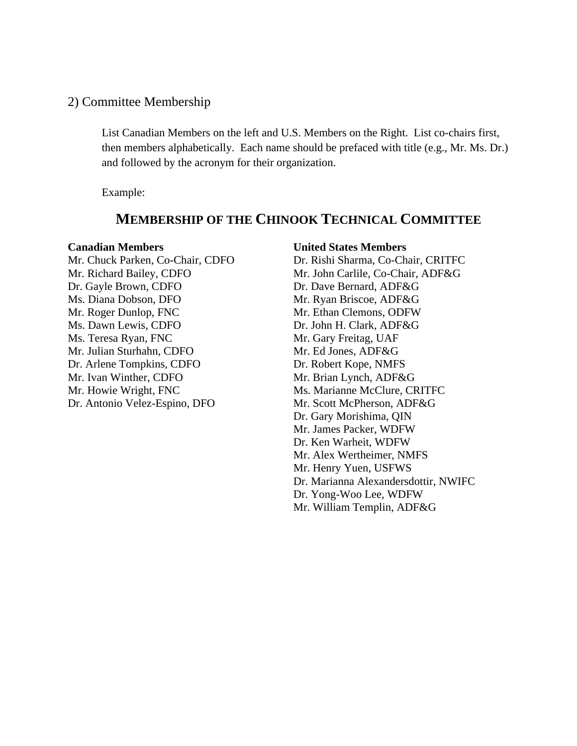#### 2) Committee Membership

List Canadian Members on the left and U.S. Members on the Right. List co-chairs first, then members alphabetically. Each name should be prefaced with title (e.g., Mr. Ms. Dr.) and followed by the acronym for their organization.

Example:

## **MEMBERSHIP OF THE CHINOOK TECHNICAL COMMITTEE**

Dr. Gayle Brown, CDFO Dr. Dave Bernard, ADF&G Ms. Diana Dobson, DFO Mr. Ryan Briscoe, ADF&G Mr. Roger Dunlop, FNC Mr. Ethan Clemons, ODFW Ms. Dawn Lewis, CDFO Dr. John H. Clark, ADF&G Ms. Teresa Ryan, FNC Mr. Gary Freitag, UAF Mr. Julian Sturhahn, CDFO Mr. Ed Jones, ADF&G Dr. Arlene Tompkins, CDFO Dr. Robert Kope, NMFS Mr. Ivan Winther, CDFO Mr. Brian Lynch, ADF&G Mr. Howie Wright, FNC Music Ms. Marianne McClure, CRITFC Dr. Antonio Velez-Espino, DFO Mr. Scott McPherson, ADF&G

**Canadian Members United States Members** Mr. Chuck Parken, Co-Chair, CDFO Dr. Rishi Sharma, Co-Chair, CRITFC Mr. Richard Bailey, CDFO Mr. John Carlile, Co-Chair, ADF&G Dr. Gary Morishima, QIN Mr. James Packer, WDFW Dr. Ken Warheit, WDFW Mr. Alex Wertheimer, NMFS Mr. Henry Yuen, USFWS Dr. Marianna Alexandersdottir, NWIFC Dr. Yong-Woo Lee, WDFW Mr. William Templin, ADF&G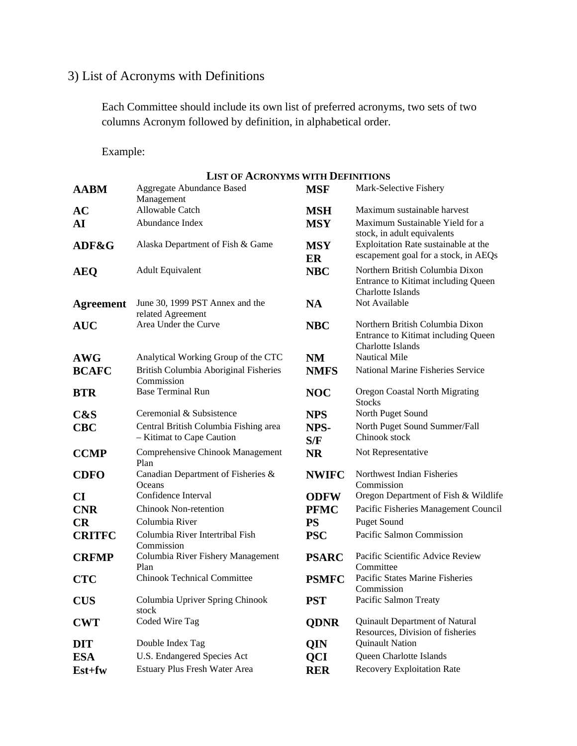# 3) List of Acronyms with Definitions

Each Committee should include its own list of preferred acronyms, two sets of two columns Acronym followed by definition, in alphabetical order.

Example:

|                  | <b>LIST OF ACRONYMS WITH DEFINITIONS</b>                           |                  |                                                                                             |
|------------------|--------------------------------------------------------------------|------------------|---------------------------------------------------------------------------------------------|
| <b>AABM</b>      | <b>Aggregate Abundance Based</b><br>Management                     | <b>MSF</b>       | Mark-Selective Fishery                                                                      |
| AC               | Allowable Catch                                                    | <b>MSH</b>       | Maximum sustainable harvest                                                                 |
| AI               | Abundance Index                                                    | <b>MSY</b>       | Maximum Sustainable Yield for a<br>stock, in adult equivalents                              |
| ADF&G            | Alaska Department of Fish & Game                                   | <b>MSY</b><br>ER | Exploitation Rate sustainable at the<br>escapement goal for a stock, in AEQs                |
| <b>AEQ</b>       | <b>Adult Equivalent</b>                                            | <b>NBC</b>       | Northern British Columbia Dixon<br>Entrance to Kitimat including Queen<br>Charlotte Islands |
| <b>Agreement</b> | June 30, 1999 PST Annex and the<br>related Agreement               | <b>NA</b>        | Not Available                                                                               |
| <b>AUC</b>       | Area Under the Curve                                               | <b>NBC</b>       | Northern British Columbia Dixon<br>Entrance to Kitimat including Queen<br>Charlotte Islands |
| <b>AWG</b>       | Analytical Working Group of the CTC                                | NM               | <b>Nautical Mile</b>                                                                        |
| <b>BCAFC</b>     | British Columbia Aboriginal Fisheries<br>Commission                | <b>NMFS</b>      | <b>National Marine Fisheries Service</b>                                                    |
| <b>BTR</b>       | <b>Base Terminal Run</b>                                           | <b>NOC</b>       | Oregon Coastal North Migrating<br><b>Stocks</b>                                             |
| C&S              | Ceremonial & Subsistence                                           | <b>NPS</b>       | North Puget Sound                                                                           |
| <b>CBC</b>       | Central British Columbia Fishing area<br>- Kitimat to Cape Caution | NPS-<br>S/F      | North Puget Sound Summer/Fall<br>Chinook stock                                              |
| <b>CCMP</b>      | Comprehensive Chinook Management<br>Plan                           | <b>NR</b>        | Not Representative                                                                          |
| <b>CDFO</b>      | Canadian Department of Fisheries &<br>Oceans                       | <b>NWIFC</b>     | Northwest Indian Fisheries<br>Commission                                                    |
| CI               | Confidence Interval                                                | <b>ODFW</b>      | Oregon Department of Fish & Wildlife                                                        |
| <b>CNR</b>       | Chinook Non-retention                                              | <b>PFMC</b>      | Pacific Fisheries Management Council                                                        |
| CR               | Columbia River                                                     | <b>PS</b>        | <b>Puget Sound</b>                                                                          |
| <b>CRITFC</b>    | Columbia River Intertribal Fish<br>Commission                      | <b>PSC</b>       | Pacific Salmon Commission                                                                   |
| <b>CRFMP</b>     | Columbia River Fishery Management<br>Plan                          | <b>PSARC</b>     | Pacific Scientific Advice Review<br>Committee                                               |
| <b>CTC</b>       | <b>Chinook Technical Committee</b>                                 | <b>PSMFC</b>     | Pacific States Marine Fisheries<br>Commission                                               |
| <b>CUS</b>       | Columbia Upriver Spring Chinook<br>stock                           | <b>PST</b>       | Pacific Salmon Treaty                                                                       |
| <b>CWT</b>       | Coded Wire Tag                                                     | <b>QDNR</b>      | Quinault Department of Natural<br>Resources, Division of fisheries                          |
| <b>DIT</b>       | Double Index Tag                                                   | QIN              | <b>Quinault Nation</b>                                                                      |
| <b>ESA</b>       | U.S. Endangered Species Act                                        | QCI              | Queen Charlotte Islands                                                                     |
| Est+fw           | Estuary Plus Fresh Water Area                                      | <b>RER</b>       | <b>Recovery Exploitation Rate</b>                                                           |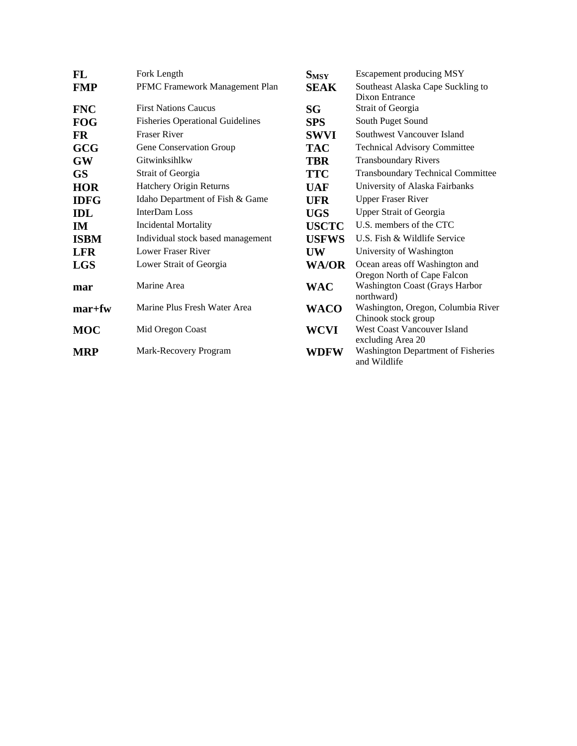| FL          | Fork Length                             | $S_{MSY}$    | Escapement producing MSY                                      |
|-------------|-----------------------------------------|--------------|---------------------------------------------------------------|
| <b>FMP</b>  | PFMC Framework Management Plan          | <b>SEAK</b>  | Southeast Alaska Cape Suckling to<br>Dixon Entrance           |
| <b>FNC</b>  | <b>First Nations Caucus</b>             | SG           | Strait of Georgia                                             |
| <b>FOG</b>  | <b>Fisheries Operational Guidelines</b> | <b>SPS</b>   | South Puget Sound                                             |
| <b>FR</b>   | <b>Fraser River</b>                     | <b>SWVI</b>  | Southwest Vancouver Island                                    |
| <b>GCG</b>  | Gene Conservation Group                 | <b>TAC</b>   | <b>Technical Advisory Committee</b>                           |
| <b>GW</b>   | Gitwinksihlkw                           | <b>TBR</b>   | <b>Transboundary Rivers</b>                                   |
| <b>GS</b>   | Strait of Georgia                       | <b>TTC</b>   | <b>Transboundary Technical Committee</b>                      |
| <b>HOR</b>  | Hatchery Origin Returns                 | <b>UAF</b>   | University of Alaska Fairbanks                                |
| <b>IDFG</b> | Idaho Department of Fish & Game         | <b>UFR</b>   | <b>Upper Fraser River</b>                                     |
| <b>IDL</b>  | InterDam Loss                           | <b>UGS</b>   | <b>Upper Strait of Georgia</b>                                |
| IM.         | <b>Incidental Mortality</b>             | <b>USCTC</b> | U.S. members of the CTC                                       |
| <b>ISBM</b> | Individual stock based management       | <b>USFWS</b> | U.S. Fish & Wildlife Service                                  |
| <b>LFR</b>  | <b>Lower Fraser River</b>               | <b>UW</b>    | University of Washington                                      |
| <b>LGS</b>  | Lower Strait of Georgia                 | WA/OR        | Ocean areas off Washington and<br>Oregon North of Cape Falcon |
| mar         | Marine Area                             | WAC          | <b>Washington Coast (Grays Harbor</b><br>northward)           |
| $mar+fw$    | Marine Plus Fresh Water Area            | WACO         | Washington, Oregon, Columbia River<br>Chinook stock group     |
| <b>MOC</b>  | Mid Oregon Coast                        | WCVI         | <b>West Coast Vancouver Island</b><br>excluding Area 20       |
| <b>MRP</b>  | Mark-Recovery Program                   | WDFW         | <b>Washington Department of Fisheries</b><br>and Wildlife     |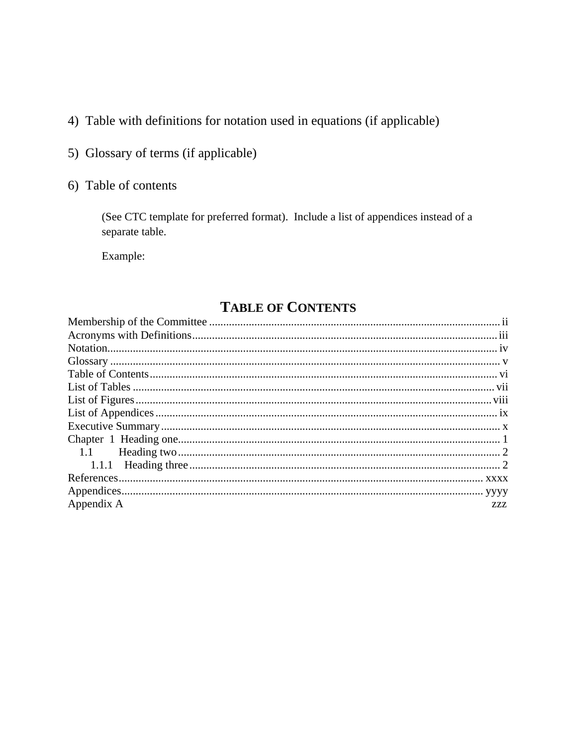- 4) Table with definitions for notation used in equations (if applicable)
- 5) Glossary of terms (if applicable)
- 6) Table of contents

(See CTC template for preferred format). Include a list of appendices instead of a separate table.

Example:

# **TABLE OF CONTENTS**

| Appendix A | ZZZ. |
|------------|------|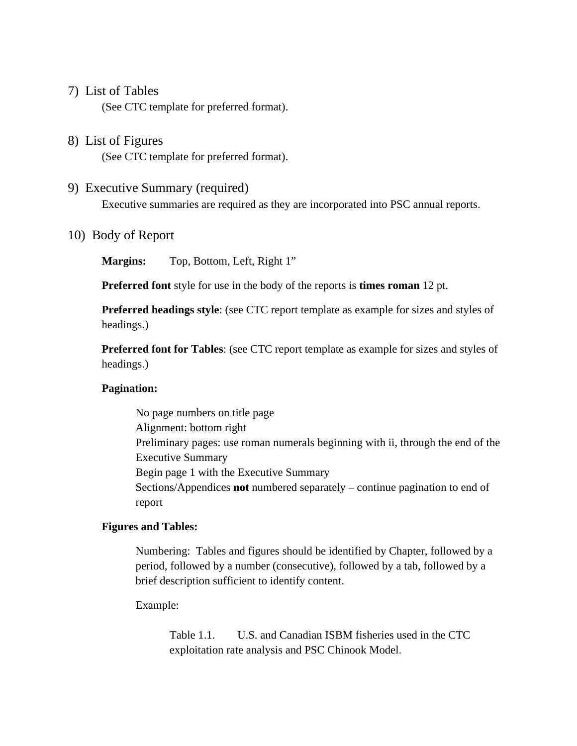#### 7) List of Tables

(See CTC template for preferred format).

### 8) List of Figures

(See CTC template for preferred format).

#### 9) Executive Summary (required)

Executive summaries are required as they are incorporated into PSC annual reports.

#### 10) Body of Report

**Margins:** Top, Bottom, Left, Right 1"

**Preferred font** style for use in the body of the reports is **times roman** 12 pt.

**Preferred headings style**: (see CTC report template as example for sizes and styles of headings.)

**Preferred font for Tables**: (see CTC report template as example for sizes and styles of headings.)

#### **Pagination:**

No page numbers on title page Alignment: bottom right Preliminary pages: use roman numerals beginning with ii, through the end of the Executive Summary Begin page 1 with the Executive Summary Sections/Appendices **not** numbered separately – continue pagination to end of report

#### **Figures and Tables:**

Numbering: Tables and figures should be identified by Chapter, followed by a period, followed by a number (consecutive), followed by a tab, followed by a brief description sufficient to identify content.

Example:

Table 1.1. U.S. and Canadian ISBM fisheries used in the CTC exploitation rate analysis and PSC Chinook Model.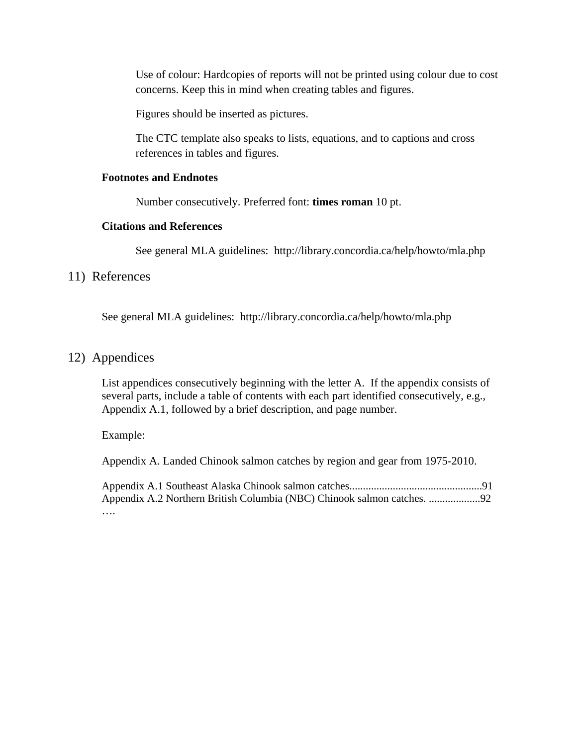Use of colour: Hardcopies of reports will not be printed using colour due to cost concerns. Keep this in mind when creating tables and figures.

Figures should be inserted as pictures.

The CTC template also speaks to lists, equations, and to captions and cross references in tables and figures.

#### **Footnotes and Endnotes**

Number consecutively. Preferred font: **times roman** 10 pt.

#### **Citations and References**

See general MLA guidelines: http://library.concordia.ca/help/howto/mla.php

#### 11) References

See general MLA guidelines: http://library.concordia.ca/help/howto/mla.php

#### 12) Appendices

List appendices consecutively beginning with the letter A. If the appendix consists of several parts, include a table of contents with each part identified consecutively, e.g., Appendix A.1, followed by a brief description, and page number.

Example:

Appendix A. Landed Chinook salmon catches by region and gear from 1975-2010.

Appendix A.1 Southeast Alaska Chinook salmon catches.................................................91 Appendix A.2 Northern British Columbia (NBC) Chinook salmon catches. ...................92 ….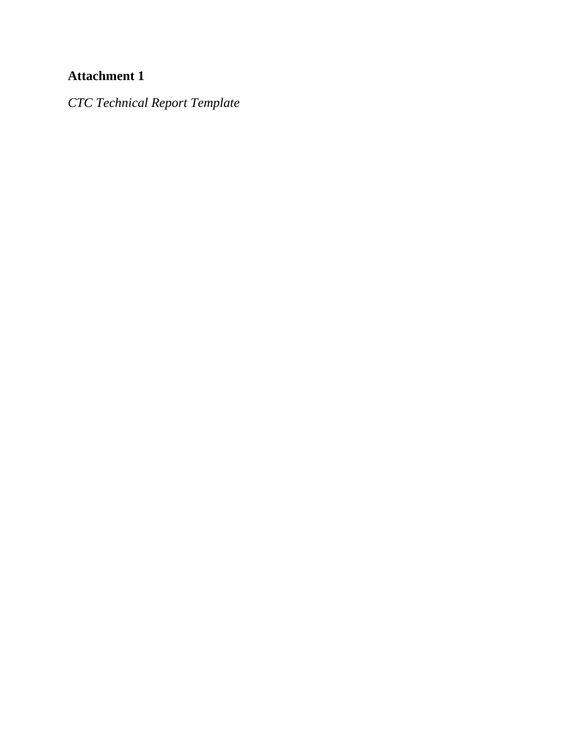# **Attachment 1**

*CTC Technical Report Template*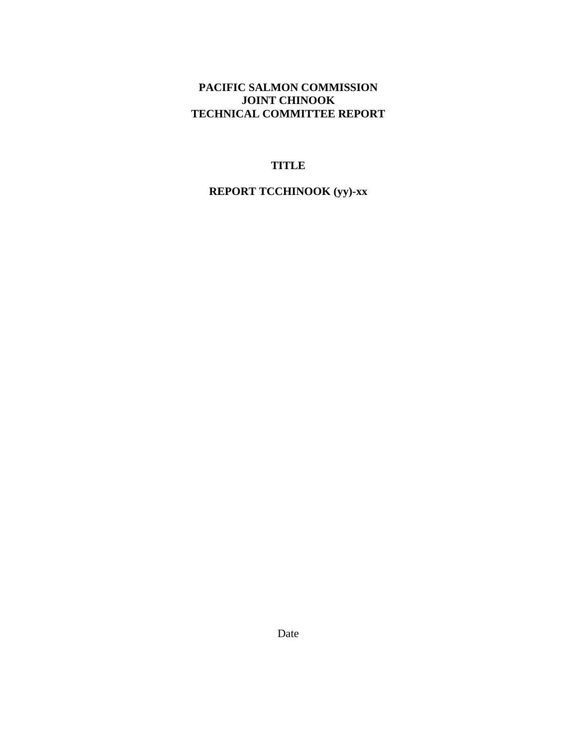#### PACIFIC SALMON COMMISSION **JOINT CHINOOK** TECHNICAL COMMITTEE REPORT

#### **TITLE**

#### **REPORT TCCHINOOK (yy)-xx**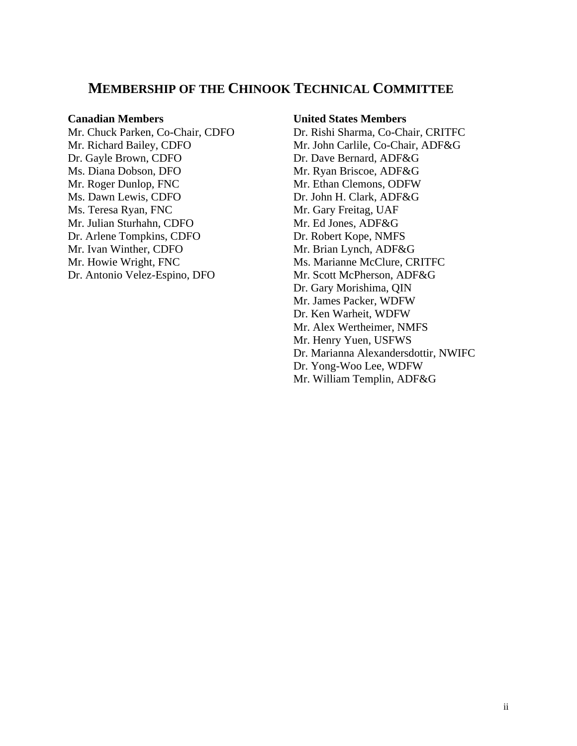### **MEMBERSHIP OF THE CHINOOK TECHNICAL COMMITTEE**

Mr. Richard Bailey, CDFO Mr. John Carlile, Co-Chair, ADF&G Dr. Gayle Brown, CDFO Dr. Dave Bernard, ADF&G Ms. Diana Dobson, DFO Mr. Ryan Briscoe, ADF&G Mr. Roger Dunlop, FNC Mr. Ethan Clemons, ODFW Ms. Dawn Lewis, CDFO Dr. John H. Clark, ADF&G Ms. Teresa Ryan, FNC Mr. Gary Freitag, UAF Mr. Julian Sturhahn, CDFO Mr. Ed Jones, ADF&G Dr. Arlene Tompkins, CDFO<br>
Dr. Robert Kope, NMFS<br>
Mr. Ivan Winther, CDFO<br>
Mr. Brian Lynch, ADF&G Mr. Ivan Winther, CDFO Mr. Howie Wright, FNC Ms. Marianne McClure, CRITFC Dr. Antonio Velez-Espino, DFO Mr. Scott McPherson, ADF&G

#### **Canadian Members United States Members**

Mr. Chuck Parken, Co-Chair, CDFO Dr. Rishi Sharma, Co-Chair, CRITFC Dr. Gary Morishima, QIN Mr. James Packer, WDFW Dr. Ken Warheit, WDFW Mr. Alex Wertheimer, NMFS Mr. Henry Yuen, USFWS Dr. Marianna Alexandersdottir, NWIFC Dr. Yong-Woo Lee, WDFW Mr. William Templin, ADF&G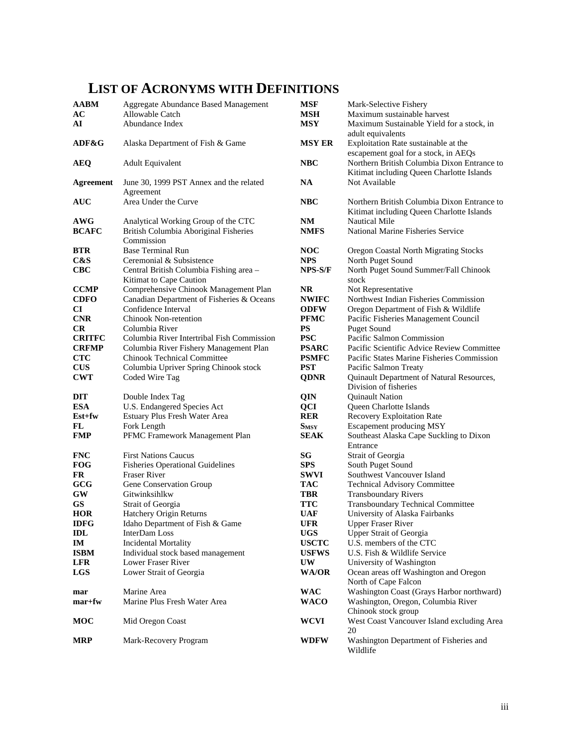## **LIST OF ACRONYMS WITH DEFINITIONS**

| <b>AABM</b><br>AC<br>AI       | Aggregate Abundance Based Management<br>Allowable Catch<br>Abundance Index                 | <b>MSF</b><br><b>MSH</b><br><b>MSY</b> | Mark-Selective Fishery<br>Maximum sustainable harvest<br>Maximum Sustainable Yield for a stock, in |
|-------------------------------|--------------------------------------------------------------------------------------------|----------------------------------------|----------------------------------------------------------------------------------------------------|
| ADF&G                         | Alaska Department of Fish & Game                                                           | <b>MSY ER</b>                          | adult equivalents<br>Exploitation Rate sustainable at the<br>escapement goal for a stock, in AEQs  |
| <b>AEQ</b>                    | <b>Adult Equivalent</b>                                                                    | <b>NBC</b>                             | Northern British Columbia Dixon Entrance to<br>Kitimat including Queen Charlotte Islands           |
| <b>Agreement</b>              | June 30, 1999 PST Annex and the related<br>Agreement                                       | <b>NA</b>                              | Not Available                                                                                      |
| <b>AUC</b>                    | Area Under the Curve                                                                       | <b>NBC</b>                             | Northern British Columbia Dixon Entrance to<br>Kitimat including Queen Charlotte Islands           |
| AWG<br><b>BCAFC</b>           | Analytical Working Group of the CTC<br>British Columbia Aboriginal Fisheries<br>Commission | NM<br><b>NMFS</b>                      | <b>Nautical Mile</b><br>National Marine Fisheries Service                                          |
| <b>BTR</b>                    | Base Terminal Run                                                                          | <b>NOC</b>                             | Oregon Coastal North Migrating Stocks                                                              |
| C&S                           | Ceremonial & Subsistence                                                                   | <b>NPS</b>                             | North Puget Sound                                                                                  |
| $CBC$                         | Central British Columbia Fishing area -<br>Kitimat to Cape Caution                         | NPS-S/F                                | North Puget Sound Summer/Fall Chinook<br>stock                                                     |
| <b>CCMP</b>                   | Comprehensive Chinook Management Plan                                                      | <b>NR</b>                              | Not Representative                                                                                 |
| <b>CDFO</b>                   | Canadian Department of Fisheries & Oceans                                                  | <b>NWIFC</b>                           | Northwest Indian Fisheries Commission                                                              |
| CI                            | Confidence Interval                                                                        | <b>ODFW</b>                            | Oregon Department of Fish & Wildlife                                                               |
| <b>CNR</b>                    | <b>Chinook Non-retention</b>                                                               | <b>PFMC</b>                            | Pacific Fisheries Management Council                                                               |
| CR                            | Columbia River                                                                             | <b>PS</b>                              | <b>Puget Sound</b>                                                                                 |
| <b>CRITFC</b><br><b>CRFMP</b> | Columbia River Intertribal Fish Commission                                                 | <b>PSC</b><br><b>PSARC</b>             | Pacific Salmon Commission<br>Pacific Scientific Advice Review Committee                            |
| <b>CTC</b>                    | Columbia River Fishery Management Plan<br><b>Chinook Technical Committee</b>               | <b>PSMFC</b>                           | Pacific States Marine Fisheries Commission                                                         |
| <b>CUS</b>                    | Columbia Upriver Spring Chinook stock                                                      | <b>PST</b>                             | Pacific Salmon Treaty                                                                              |
| <b>CWT</b>                    | Coded Wire Tag                                                                             | <b>QDNR</b>                            | Quinault Department of Natural Resources,                                                          |
|                               |                                                                                            |                                        | Division of fisheries                                                                              |
| <b>DIT</b>                    | Double Index Tag                                                                           | QIN                                    | <b>Quinault Nation</b>                                                                             |
| <b>ESA</b>                    | U.S. Endangered Species Act                                                                | <b>QCI</b>                             | Queen Charlotte Islands                                                                            |
| $Est+fw$                      | Estuary Plus Fresh Water Area                                                              | <b>RER</b>                             | Recovery Exploitation Rate                                                                         |
| FL                            | Fork Length                                                                                | <b>SMSY</b>                            | Escapement producing MSY                                                                           |
| <b>FMP</b>                    | PFMC Framework Management Plan                                                             | <b>SEAK</b>                            | Southeast Alaska Cape Suckling to Dixon<br>Entrance                                                |
| <b>FNC</b>                    | <b>First Nations Caucus</b>                                                                | SG                                     | Strait of Georgia                                                                                  |
| <b>FOG</b>                    | <b>Fisheries Operational Guidelines</b>                                                    | <b>SPS</b>                             | South Puget Sound                                                                                  |
| <b>FR</b>                     | <b>Fraser River</b>                                                                        | <b>SWVI</b>                            | Southwest Vancouver Island                                                                         |
| GCG                           | Gene Conservation Group                                                                    | <b>TAC</b>                             | <b>Technical Advisory Committee</b>                                                                |
| GW                            | Gitwinksihlkw                                                                              | TBR                                    | <b>Transboundary Rivers</b>                                                                        |
| <b>GS</b>                     | Strait of Georgia                                                                          | <b>TTC</b>                             | <b>Transboundary Technical Committee</b>                                                           |
| <b>HOR</b>                    | Hatchery Origin Returns                                                                    | UAF                                    | University of Alaska Fairbanks                                                                     |
| <b>IDFG</b>                   | Idaho Department of Fish & Game                                                            | <b>UFR</b>                             | <b>Upper Fraser River</b>                                                                          |
| IDL<br>IM                     | InterDam Loss<br><b>Incidental Mortality</b>                                               | <b>UGS</b><br><b>USCTC</b>             | <b>Upper Strait of Georgia</b><br>U.S. members of the CTC                                          |
| <b>ISBM</b>                   | Individual stock based management                                                          | <b>USFWS</b>                           | U.S. Fish & Wildlife Service                                                                       |
| <b>LFR</b>                    | Lower Fraser River                                                                         | <b>UW</b>                              | University of Washington                                                                           |
| <b>LGS</b>                    | Lower Strait of Georgia                                                                    | WA/OR                                  | Ocean areas off Washington and Oregon                                                              |
| mar                           | Marine Area                                                                                | <b>WAC</b>                             | North of Cape Falcon<br>Washington Coast (Grays Harbor northward)                                  |
| $mar+fw$                      | Marine Plus Fresh Water Area                                                               | <b>WACO</b>                            | Washington, Oregon, Columbia River                                                                 |
|                               |                                                                                            |                                        | Chinook stock group                                                                                |
| MOC                           | Mid Oregon Coast                                                                           | WCVI                                   | West Coast Vancouver Island excluding Area<br>20                                                   |
| <b>MRP</b>                    | Mark-Recovery Program                                                                      | <b>WDFW</b>                            | Washington Department of Fisheries and<br>Wildlife                                                 |

**Vice Review Committee Prisheries Commission** of Natural Resources, **FMP** Suckling to Dixon **Grain Committee**<br>**Fairbanks** hington and Oregon North of Cape Falcon **Frays Harbor northward)** mart<br>**Maring Plus Free**<br>River **Mockylightary** Coregonal Excluding Area nent of Fisheries and Wildlife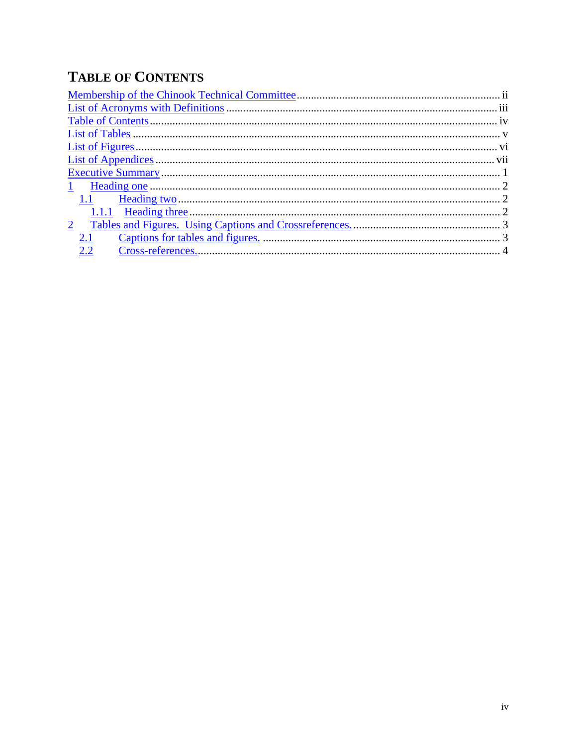# **TABLE OF CONTENTS**

| $\mathbf{1}$   |  |
|----------------|--|
| 1.1            |  |
|                |  |
| $\overline{2}$ |  |
| 2.1            |  |
| 2.2            |  |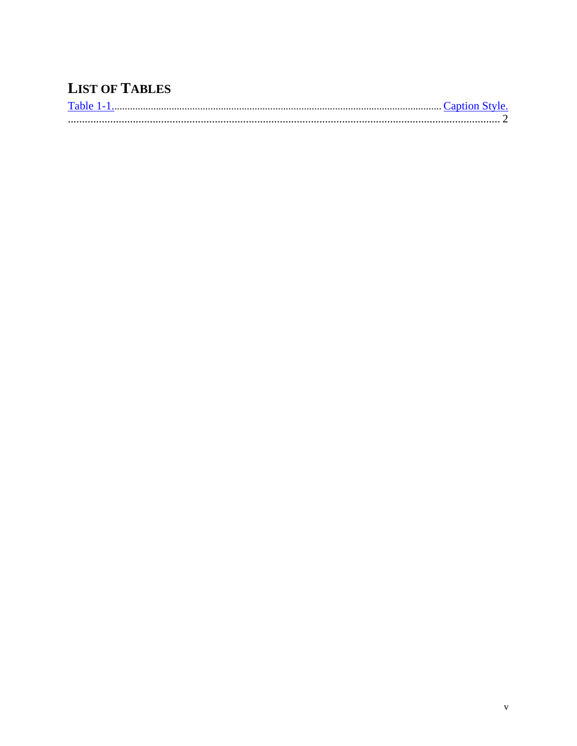# **LIST OF TABLES**

| $T-1.1$ . |  |
|-----------|--|
|           |  |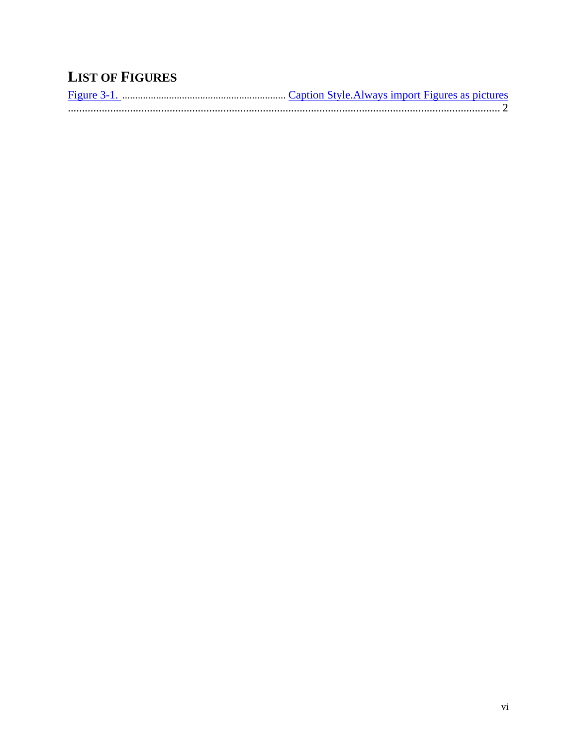# **LIST OF FIGURES**

| Figure 3-1. |  |
|-------------|--|
|             |  |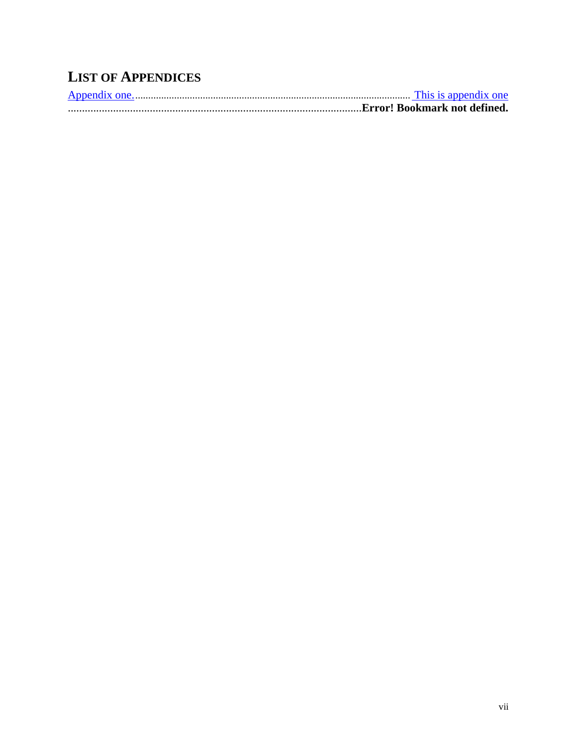# **LIST OF APPENDICES**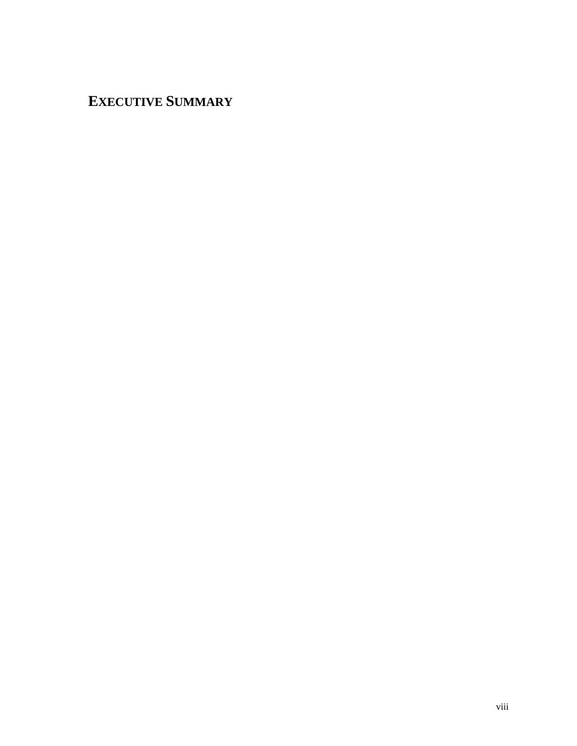# **EXECUTIVE SUMMARY**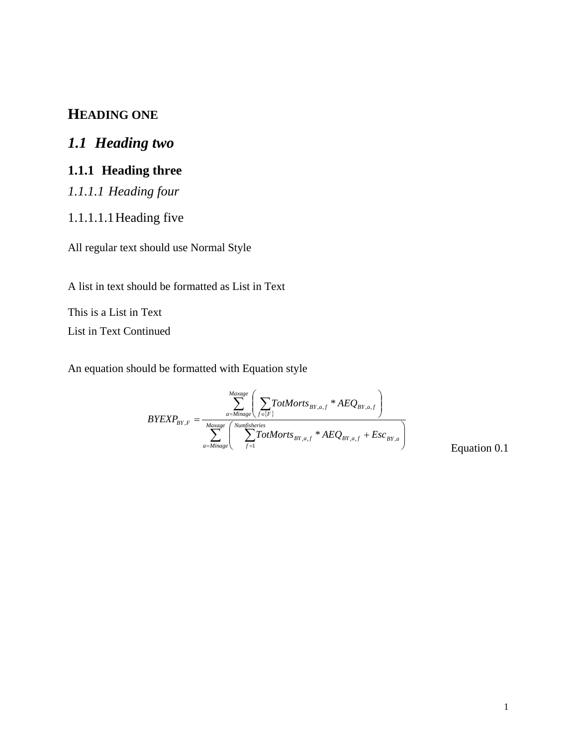## **HEADING ONE**

# *1.1 Heading two*

## **1.1.1 Heading three**

*1.1.1.1 Heading four*

#### 1.1.1.1.1Heading five

All regular text should use Normal Style

A list in text should be formatted as List in Text

This is a List in Text List in Text Continued

An equation should be formatted with Equation style

$$
BYEXP_{BY,F} = \frac{\sum_{a=Minage}^{Maxage} \left( \sum_{f \in \{F\}} TotMorts_{BY,a,f} * AEQ_{BY,a,f} \right)}{\sum_{a=Minage}^{Maxage} \left( \sum_{f=1}^{Numfisheries} TotMorts_{BY,a,f} * AEQ_{BY,a,f} + Esc_{BY,a} \right)}
$$
Equation 0.1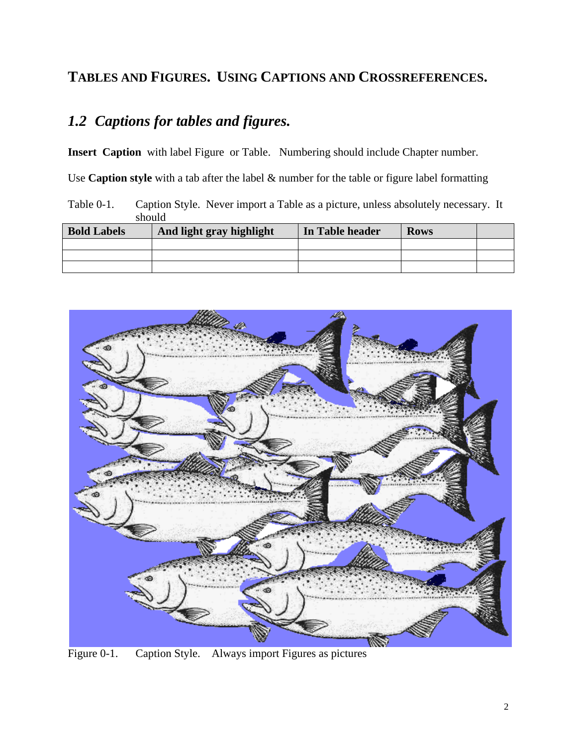## **TABLES AND FIGURES. USING CAPTIONS AND CROSSREFERENCES.**

# *1.2 Captions for tables and figures.*

**Insert Caption** with label Figure or Table. Numbering should include Chapter number.

Use **Caption style** with a tab after the label & number for the table or figure label formatting

<span id="page-18-0"></span>Table 0-1. Caption Style. Never import a Table as a picture, unless absolutely necessary. It should

| <b>Bold Labels</b> | And light gray highlight | In Table header | <b>Rows</b> |  |
|--------------------|--------------------------|-----------------|-------------|--|
|                    |                          |                 |             |  |
|                    |                          |                 |             |  |
|                    |                          |                 |             |  |

<span id="page-18-1"></span>

Figure 0-1. Caption Style. Always import Figures as pictures